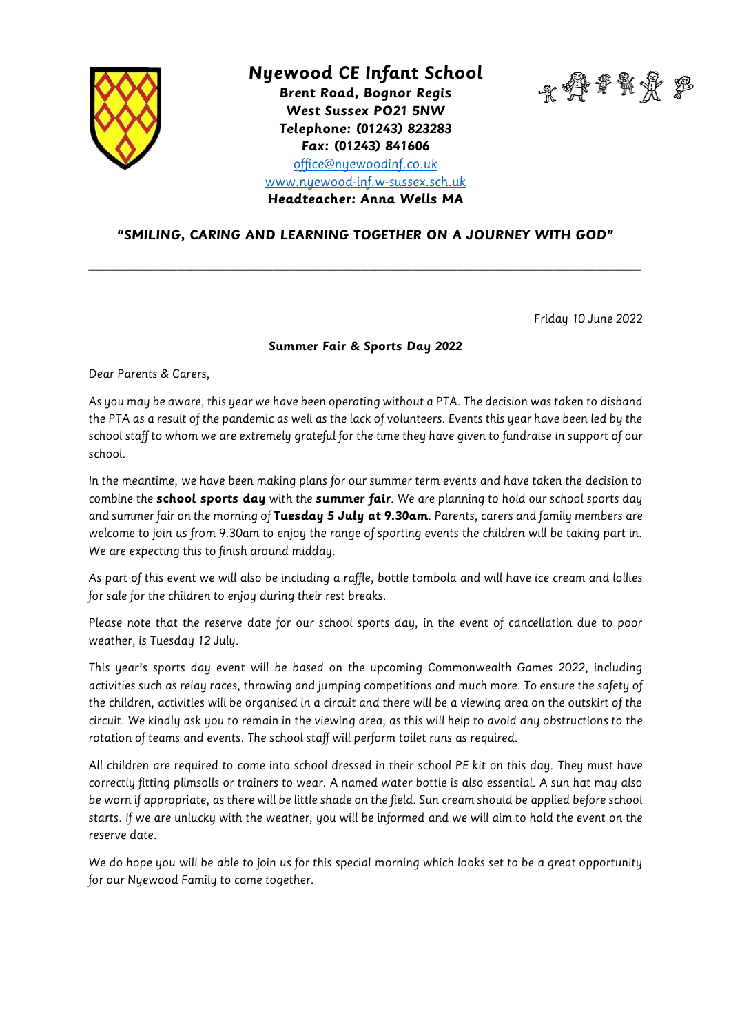

## **Nyewood CE Infant School**

**Brent Road, Bognor Regis West Sussex PO21 5NW Telephone: (01243) 823283 Fax: (01243) 841606**



[office@nyewoodinf.co.uk](mailto:office@nyewoodinf.co.uk)

[www.nyewood-inf.w-sussex.sch.uk](http://www.nyewood-inf.w-sussex.sch.uk/)

**Headteacher: Anna Wells MA**

## **"SMILING, CARING AND LEARNING TOGETHER ON A JOURNEY WITH GOD"**

**\_\_\_\_\_\_\_\_\_\_\_\_\_\_\_\_\_\_\_\_\_\_\_\_\_\_\_\_\_\_\_\_\_\_\_\_\_\_\_\_\_\_\_\_\_\_\_\_\_\_\_\_\_\_\_\_\_\_\_\_\_\_\_\_\_\_\_\_\_\_\_\_\_\_\_**

Friday 10 June 2022

## **Summer Fair & Sports Day 2022**

Dear Parents & Carers,

As you may be aware, this year we have been operating without a PTA. The decision was taken to disband the PTA as a result of the pandemic as well as the lack of volunteers. Events this year have been led by the school staff to whom we are extremely grateful for the time they have given to fundraise in support of our school.

In the meantime, we have been making plans for our summer term events and have taken the decision to combine the **school sports day** with the **summer fair**. We are planning to hold our school sports day and summer fair on the morning of **Tuesday 5 July at 9.30am**. Parents, carers and family members are welcome to join us from 9.30am to enjoy the range of sporting events the children will be taking part in. We are expecting this to finish around midday.

As part of this event we will also be including a raffle, bottle tombola and will have ice cream and lollies for sale for the children to enjoy during their rest breaks.

Please note that the reserve date for our school sports day, in the event of cancellation due to poor weather, is Tuesday 12 July.

This year's sports day event will be based on the upcoming Commonwealth Games 2022, including activities such as relay races, throwing and jumping competitions and much more. To ensure the safety of the children, activities will be organised in a circuit and there will be a viewing area on the outskirt of the circuit. We kindly ask you to remain in the viewing area, as this will help to avoid any obstructions to the rotation of teams and events. The school staff will perform toilet runs as required.

All children are required to come into school dressed in their school PE kit on this day. They must have correctly fitting plimsolls or trainers to wear. A named water bottle is also essential. A sun hat may also be worn if appropriate, as there will be little shade on the field. Sun cream should be applied before school starts. If we are unlucky with the weather, you will be informed and we will aim to hold the event on the reserve date.

We do hope you will be able to join us for this special morning which looks set to be a great opportunity for our Nyewood Family to come together.